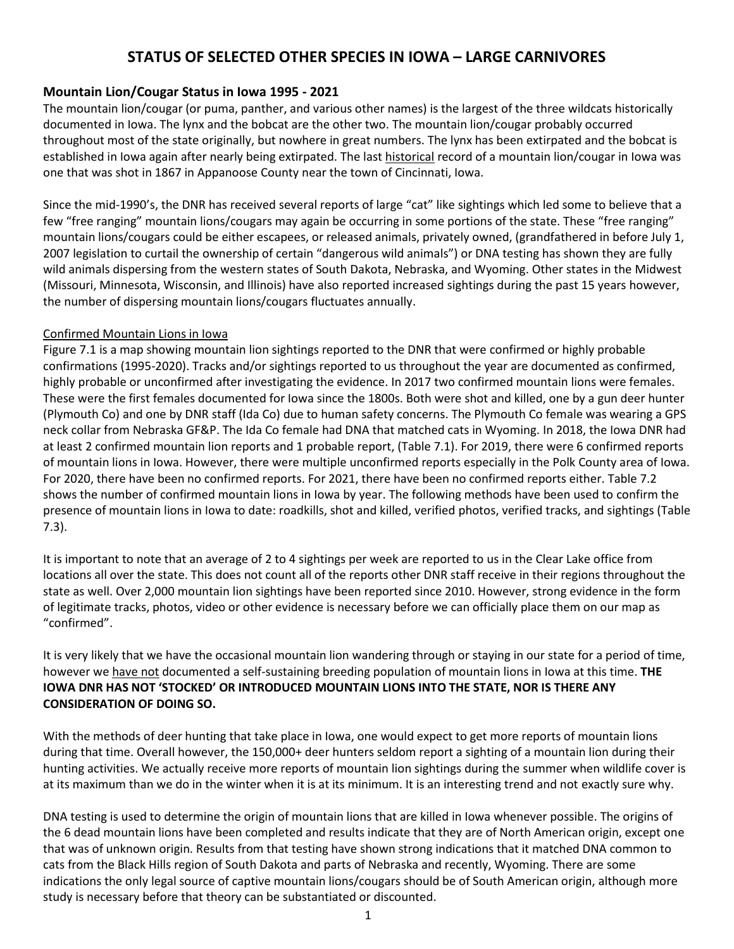## **STATUS OF SELECTED OTHER SPECIES IN IOWA – LARGE CARNIVORES**

### **Mountain Lion/Cougar Status in Iowa 1995 - 2021**

The mountain lion/cougar (or puma, panther, and various other names) is the largest of the three wildcats historically documented in Iowa. The lynx and the bobcat are the other two. The mountain lion/cougar probably occurred throughout most of the state originally, but nowhere in great numbers. The lynx has been extirpated and the bobcat is established in Iowa again after nearly being extirpated. The last historical record of a mountain lion/cougar in Iowa was one that was shot in 1867 in Appanoose County near the town of Cincinnati, Iowa.

Since the mid-1990's, the DNR has received several reports of large "cat" like sightings which led some to believe that a few "free ranging" mountain lions/cougars may again be occurring in some portions of the state. These "free ranging" mountain lions/cougars could be either escapees, or released animals, privately owned, (grandfathered in before July 1, 2007 legislation to curtail the ownership of certain "dangerous wild animals") or DNA testing has shown they are fully wild animals dispersing from the western states of South Dakota, Nebraska, and Wyoming. Other states in the Midwest (Missouri, Minnesota, Wisconsin, and Illinois) have also reported increased sightings during the past 15 years however, the number of dispersing mountain lions/cougars fluctuates annually.

#### Confirmed Mountain Lions in Iowa

[Figure 7.1](#page-2-0) is a map showing mountain lion sightings reported to the DNR that were confirmed or highly probable confirmations (1995-2020). Tracks and/or sightings reported to us throughout the year are documented as confirmed, highly probable or unconfirmed after investigating the evidence. In 2017 two confirmed mountain lions were females. These were the first females documented for Iowa since the 1800s. Both were shot and killed, one by a gun deer hunter (Plymouth Co) and one by DNR staff (Ida Co) due to human safety concerns. The Plymouth Co female was wearing a GPS neck collar from Nebraska GF&P. The Ida Co female had DNA that matched cats in Wyoming. In 2018, the Iowa DNR had at least 2 confirmed mountain lion reports and 1 probable report, [\(Table 7.1\)](#page-3-0). For 2019, there were 6 confirmed reports of mountain lions in Iowa. However, there were multiple unconfirmed reports especially in the Polk County area of Iowa. For 2020, there have been no confirmed reports. For 2021, there have been no confirmed reports either. [Table 7.2](#page-4-0) shows the number of confirmed mountain lions in Iowa by year. The following methods have been used to confirm the presence of mountain lions in Iowa to date: roadkills, shot and killed, verified photos, verified tracks, and sightings [\(Table](#page-4-1)  [7.3\)](#page-4-1).

It is important to note that an average of 2 to 4 sightings per week are reported to us in the Clear Lake office from locations all over the state. This does not count all of the reports other DNR staff receive in their regions throughout the state as well. Over 2,000 mountain lion sightings have been reported since 2010. However, strong evidence in the form of legitimate tracks, photos, video or other evidence is necessary before we can officially place them on our map as "confirmed".

It is very likely that we have the occasional mountain lion wandering through or staying in our state for a period of time, however we have not documented a self-sustaining breeding population of mountain lions in Iowa at this time. **THE IOWA DNR HAS NOT 'STOCKED' OR INTRODUCED MOUNTAIN LIONS INTO THE STATE, NOR IS THERE ANY CONSIDERATION OF DOING SO.**

With the methods of deer hunting that take place in Iowa, one would expect to get more reports of mountain lions during that time. Overall however, the 150,000+ deer hunters seldom report a sighting of a mountain lion during their hunting activities. We actually receive more reports of mountain lion sightings during the summer when wildlife cover is at its maximum than we do in the winter when it is at its minimum. It is an interesting trend and not exactly sure why.

DNA testing is used to determine the origin of mountain lions that are killed in Iowa whenever possible. The origins of the 6 dead mountain lions have been completed and results indicate that they are of North American origin, except one that was of unknown origin. Results from that testing have shown strong indications that it matched DNA common to cats from the Black Hills region of South Dakota and parts of Nebraska and recently, Wyoming. There are some indications the only legal source of captive mountain lions/cougars should be of South American origin, although more study is necessary before that theory can be substantiated or discounted.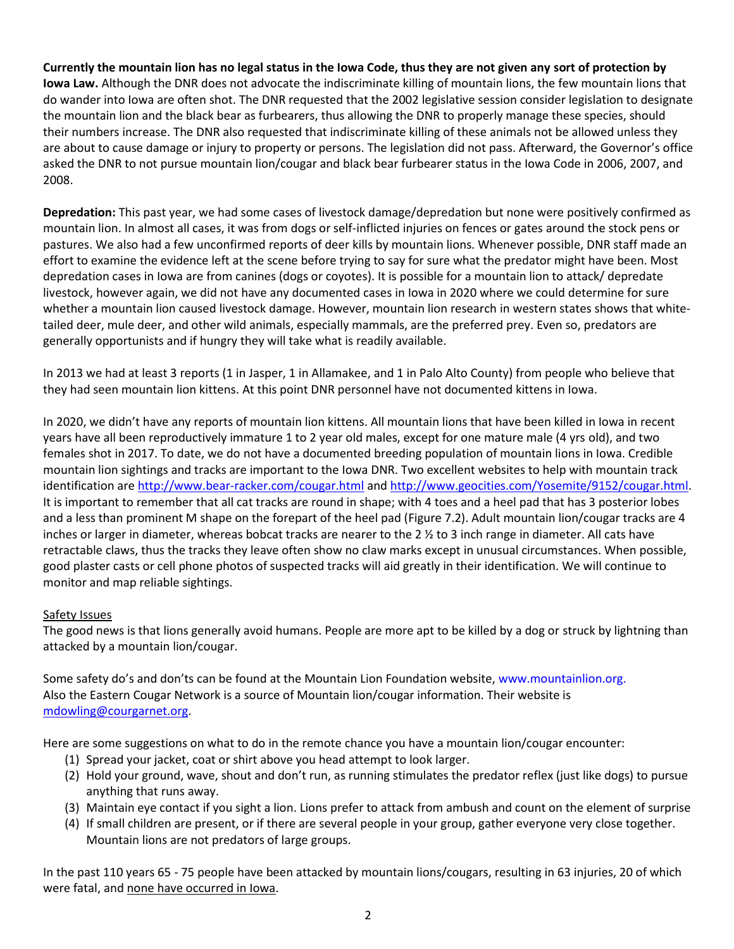**Currently the mountain lion has no legal status in the Iowa Code, thus they are not given any sort of protection by Iowa Law.** Although the DNR does not advocate the indiscriminate killing of mountain lions, the few mountain lions that do wander into Iowa are often shot. The DNR requested that the 2002 legislative session consider legislation to designate the mountain lion and the black bear as furbearers, thus allowing the DNR to properly manage these species, should their numbers increase. The DNR also requested that indiscriminate killing of these animals not be allowed unless they are about to cause damage or injury to property or persons. The legislation did not pass. Afterward, the Governor's office asked the DNR to not pursue mountain lion/cougar and black bear furbearer status in the Iowa Code in 2006, 2007, and 2008.

**Depredation:** This past year, we had some cases of livestock damage/depredation but none were positively confirmed as mountain lion. In almost all cases, it was from dogs or self-inflicted injuries on fences or gates around the stock pens or pastures. We also had a few unconfirmed reports of deer kills by mountain lions. Whenever possible, DNR staff made an effort to examine the evidence left at the scene before trying to say for sure what the predator might have been. Most depredation cases in Iowa are from canines (dogs or coyotes). It is possible for a mountain lion to attack/ depredate livestock, however again, we did not have any documented cases in Iowa in 2020 where we could determine for sure whether a mountain lion caused livestock damage. However, mountain lion research in western states shows that whitetailed deer, mule deer, and other wild animals, especially mammals, are the preferred prey. Even so, predators are generally opportunists and if hungry they will take what is readily available.

In 2013 we had at least 3 reports (1 in Jasper, 1 in Allamakee, and 1 in Palo Alto County) from people who believe that they had seen mountain lion kittens. At this point DNR personnel have not documented kittens in Iowa.

In 2020, we didn't have any reports of mountain lion kittens. All mountain lions that have been killed in Iowa in recent years have all been reproductively immature 1 to 2 year old males, except for one mature male (4 yrs old), and two females shot in 2017. To date, we do not have a documented breeding population of mountain lions in Iowa. Credible mountain lion sightings and tracks are important to the Iowa DNR. Two excellent websites to help with mountain track identification are<http://www.bear-racker.com/cougar.html> an[d http://www.geocities.com/Yosemite/9152/cougar.html.](http://www.geocities.com/Yosemite/9152/cougar.html) It is important to remember that all cat tracks are round in shape; with 4 toes and a heel pad that has 3 posterior lobes and a less than prominent M shape on the forepart of the heel pad [\(Figure 7.2\)](#page-3-1). Adult mountain lion/cougar tracks are 4 inches or larger in diameter, whereas bobcat tracks are nearer to the 2  $\frac{1}{2}$  to 3 inch range in diameter. All cats have retractable claws, thus the tracks they leave often show no claw marks except in unusual circumstances. When possible, good plaster casts or cell phone photos of suspected tracks will aid greatly in their identification. We will continue to monitor and map reliable sightings.

### Safety Issues

The good news is that lions generally avoid humans. People are more apt to be killed by a dog or struck by lightning than attacked by a mountain lion/cougar.

Some safety do's and don'ts can be found at the Mountain Lion Foundation website[, www.mountainlion.org.](http://www.mountainlion.org/) Also the Eastern Cougar Network is a source of Mountain lion/cougar information. Their website is [mdowling@courgarnet.org.](mailto:mdowling@courgarnet.org)

Here are some suggestions on what to do in the remote chance you have a mountain lion/cougar encounter:

- (1) Spread your jacket, coat or shirt above you head attempt to look larger.
- (2) Hold your ground, wave, shout and don't run, as running stimulates the predator reflex (just like dogs) to pursue anything that runs away.
- (3) Maintain eye contact if you sight a lion. Lions prefer to attack from ambush and count on the element of surprise
- (4) If small children are present, or if there are several people in your group, gather everyone very close together. Mountain lions are not predators of large groups.

In the past 110 years 65 - 75 people have been attacked by mountain lions/cougars, resulting in 63 injuries, 20 of which were fatal, and none have occurred in Iowa.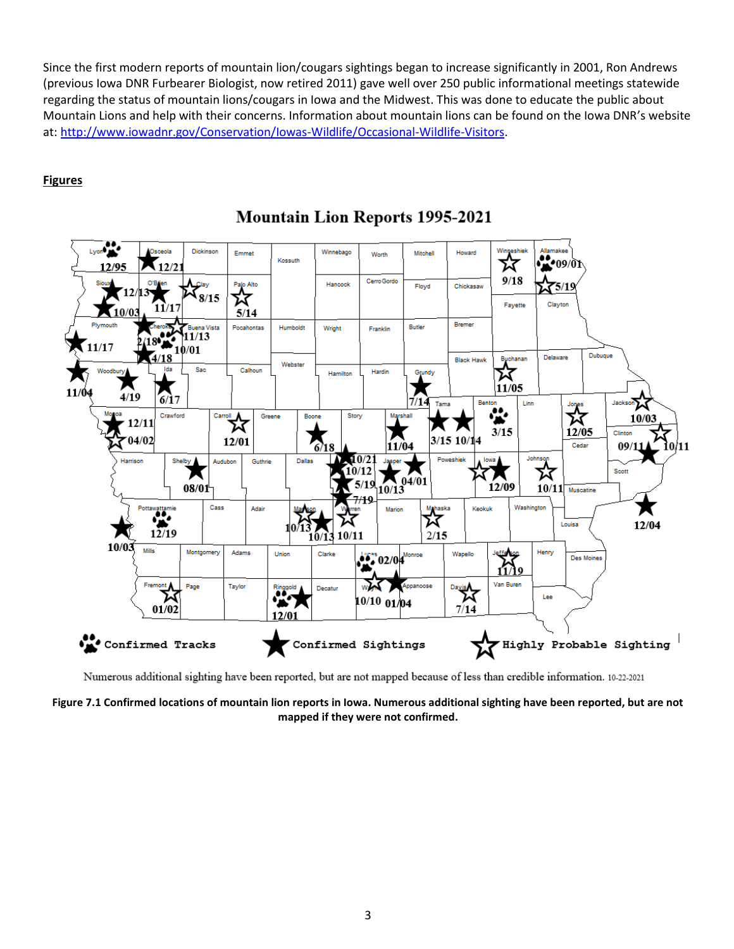Since the first modern reports of mountain lion/cougars sightings began to increase significantly in 2001, Ron Andrews (previous Iowa DNR Furbearer Biologist, now retired 2011) gave well over 250 public informational meetings statewide regarding the status of mountain lions/cougars in Iowa and the Midwest. This was done to educate the public about Mountain Lions and help with their concerns. Information about mountain lions can be found on the Iowa DNR's website at: [http://www.iowadnr.gov/Conservation/Iowas-Wildlife/Occasional-Wildlife-Visitors.](http://www.iowadnr.gov/Conservation/Iowas-Wildlife/Occasional-Wildlife-Visitors)

### **Figures**



# **Mountain Lion Reports 1995-2021**

Numerous additional sighting have been reported, but are not mapped because of less than credible information. 10-22-2021

<span id="page-2-0"></span>**Figure 7.1 Confirmed locations of mountain lion reports in Iowa. Numerous additional sighting have been reported, but are not mapped if they were not confirmed.**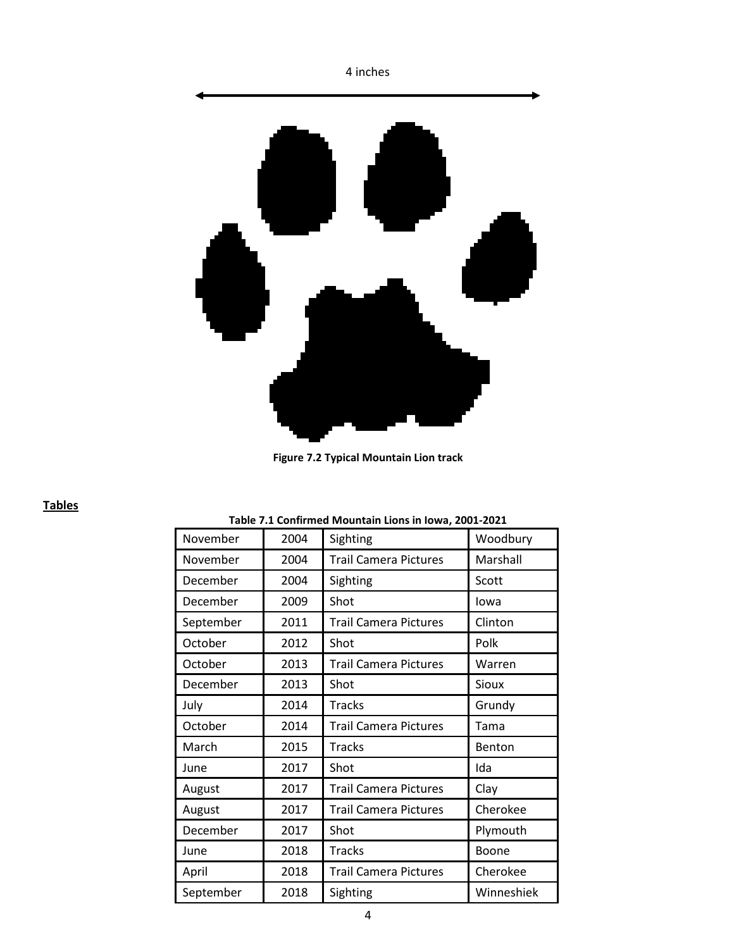

**Figure 7.2 Typical Mountain Lion track**

#### <span id="page-3-1"></span><span id="page-3-0"></span>**Tables**

#### **Table 7.1 Confirmed Mountain Lions in Iowa, 2001-2021**

| November  | 2004 | Sighting                     | Woodbury   |
|-----------|------|------------------------------|------------|
| November  | 2004 | <b>Trail Camera Pictures</b> | Marshall   |
| December  | 2004 | Sighting                     | Scott      |
| December  | 2009 | Shot                         | lowa       |
| September | 2011 | <b>Trail Camera Pictures</b> | Clinton    |
| October   | 2012 | Shot                         | Polk       |
| October   | 2013 | <b>Trail Camera Pictures</b> | Warren     |
| December  | 2013 | Shot                         | Sioux      |
| July      | 2014 | <b>Tracks</b>                | Grundy     |
| October   | 2014 | <b>Trail Camera Pictures</b> | Tama       |
| March     | 2015 | <b>Tracks</b>                | Benton     |
| June      | 2017 | Shot                         | Ida        |
| August    | 2017 | <b>Trail Camera Pictures</b> | Clay       |
| August    | 2017 | <b>Trail Camera Pictures</b> | Cherokee   |
| December  | 2017 | Shot                         | Plymouth   |
| June      | 2018 | <b>Tracks</b>                | Boone      |
| April     | 2018 | <b>Trail Camera Pictures</b> | Cherokee   |
| September | 2018 | Sighting                     | Winneshiek |